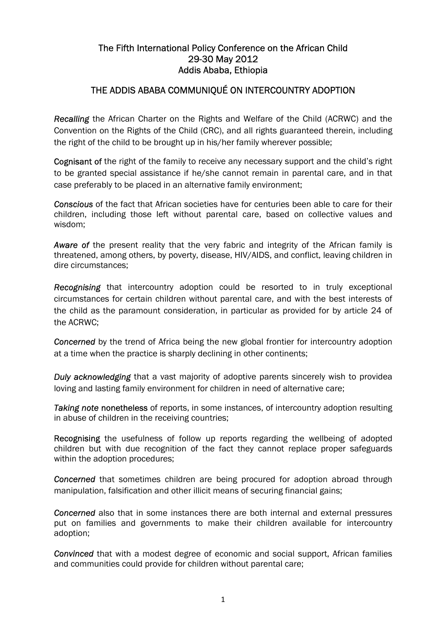## The Fifth International Policy Conference on the African Child 29-30 May 2012 Addis Ababa, Ethiopia

# THE ADDIS ABABA COMMUNIQUÉ ON INTERCOUNTRY ADOPTION

*Recalling* the African Charter on the Rights and Welfare of the Child (ACRWC) and the Convention on the Rights of the Child (CRC), and all rights guaranteed therein, including the right of the child to be brought up in his/her family wherever possible;

Cognisant of the right of the family to receive any necessary support and the child's right to be granted special assistance if he/she cannot remain in parental care, and in that case preferably to be placed in an alternative family environment;

*Conscious* of the fact that African societies have for centuries been able to care for their children, including those left without parental care, based on collective values and wisdom;

*Aware of* the present reality that the very fabric and integrity of the African family is threatened, among others, by poverty, disease, HIV/AIDS, and conflict, leaving children in dire circumstances;

*Recognising* that intercountry adoption could be resorted to in truly exceptional circumstances for certain children without parental care, and with the best interests of the child as the paramount consideration, in particular as provided for by article 24 of the ACRWC;

*Concerned* by the trend of Africa being the new global frontier for intercountry adoption at a time when the practice is sharply declining in other continents;

*Duly acknowledging* that a vast majority of adoptive parents sincerely wish to providea loving and lasting family environment for children in need of alternative care;

*Taking note* nonetheless of reports, in some instances, of intercountry adoption resulting in abuse of children in the receiving countries;

Recognising the usefulness of follow up reports regarding the wellbeing of adopted children but with due recognition of the fact they cannot replace proper safeguards within the adoption procedures;

**Concerned** that sometimes children are being procured for adoption abroad through manipulation, falsification and other illicit means of securing financial gains;

*Concerned* also that in some instances there are both internal and external pressures put on families and governments to make their children available for intercountry adoption;

*Convinced* that with a modest degree of economic and social support, African families and communities could provide for children without parental care;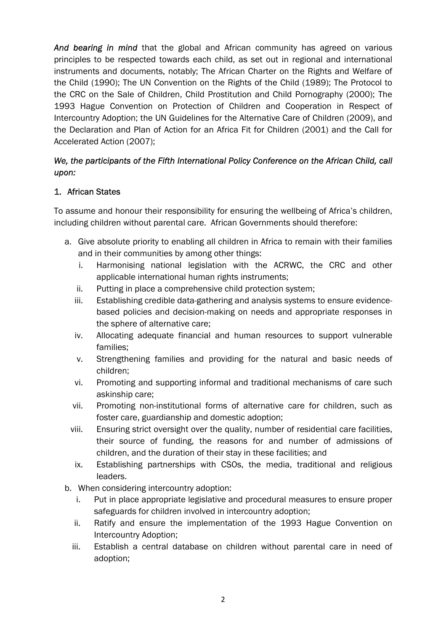*And bearing in mind* that the global and African community has agreed on various principles to be respected towards each child, as set out in regional and international instruments and documents, notably; The African Charter on the Rights and Welfare of the Child (1990); The UN Convention on the Rights of the Child (1989); The Protocol to the CRC on the Sale of Children, Child Prostitution and Child Pornography (2000); The 1993 Hague Convention on Protection of Children and Cooperation in Respect of Intercountry Adoption; the UN Guidelines for the Alternative Care of Children (2009), and the Declaration and Plan of Action for an Africa Fit for Children (2001) and the Call for Accelerated Action (2007);

## *We, the participants of the Fifth International Policy Conference on the African Child, call upon:*

#### 1. African States

To assume and honour their responsibility for ensuring the wellbeing of Africa's children, including children without parental care. African Governments should therefore:

- a. Give absolute priority to enabling all children in Africa to remain with their families and in their communities by among other things:
	- i. Harmonising national legislation with the ACRWC, the CRC and other applicable international human rights instruments;
	- ii. Putting in place a comprehensive child protection system;
	- iii. Establishing credible data-gathering and analysis systems to ensure evidencebased policies and decision-making on needs and appropriate responses in the sphere of alternative care;
	- iv. Allocating adequate financial and human resources to support vulnerable families;
	- v. Strengthening families and providing for the natural and basic needs of children;
	- vi. Promoting and supporting informal and traditional mechanisms of care such askinship care;
	- vii. Promoting non-institutional forms of alternative care for children, such as foster care, guardianship and domestic adoption;
	- viii. Ensuring strict oversight over the quality, number of residential care facilities, their source of funding, the reasons for and number of admissions of children, and the duration of their stay in these facilities; and
		- ix. Establishing partnerships with CSOs, the media, traditional and religious leaders.
- b. When considering intercountry adoption:
	- i. Put in place appropriate legislative and procedural measures to ensure proper safeguards for children involved in intercountry adoption;
	- ii. Ratify and ensure the implementation of the 1993 Hague Convention on Intercountry Adoption;
	- iii. Establish a central database on children without parental care in need of adoption;